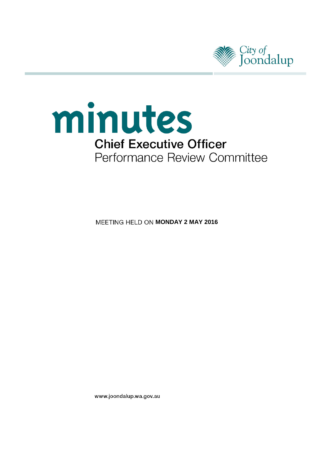



**MEETING HELD ON MONDAY 2 MAY 2016** 

www.joondalup.wa.gov.au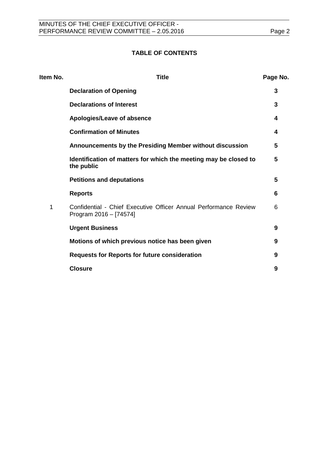# **TABLE OF CONTENTS**

| <b>Title</b>                                                                               | Page No. |
|--------------------------------------------------------------------------------------------|----------|
| <b>Declaration of Opening</b>                                                              | 3        |
| <b>Declarations of Interest</b>                                                            | 3        |
| Apologies/Leave of absence                                                                 | 4        |
| <b>Confirmation of Minutes</b>                                                             | 4        |
| Announcements by the Presiding Member without discussion                                   | 5        |
| Identification of matters for which the meeting may be closed to<br>the public             | 5        |
| <b>Petitions and deputations</b>                                                           | 5        |
| <b>Reports</b>                                                                             | 6        |
| Confidential - Chief Executive Officer Annual Performance Review<br>Program 2016 - [74574] | 6        |
| <b>Urgent Business</b>                                                                     | 9        |
| Motions of which previous notice has been given                                            | 9        |
| <b>Requests for Reports for future consideration</b>                                       | 9        |
| <b>Closure</b>                                                                             | 9        |
|                                                                                            |          |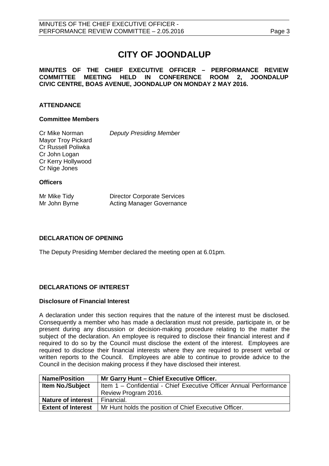# **CITY OF JOONDALUP**

# **MINUTES OF THE CHIEF EXECUTIVE OFFICER – PERFORMANCE REVIEW** MEETING HELD IN CONFERENCE ROOM 2, JOONDALUP **CIVIC CENTRE, BOAS AVENUE, JOONDALUP ON MONDAY 2 MAY 2016.**

# **ATTENDANCE**

## **Committee Members**

Cr Mike Norman *Deputy Presiding Member* Mayor Troy Pickard Cr Russell Poliwka Cr John Logan Cr Kerry Hollywood Cr Nige Jones

# **Officers**

| Mr Mike Tidy  | <b>Director Corporate Services</b> |
|---------------|------------------------------------|
| Mr John Byrne | <b>Acting Manager Governance</b>   |

# <span id="page-2-0"></span>**DECLARATION OF OPENING**

The Deputy Presiding Member declared the meeting open at 6.01pm.

# <span id="page-2-1"></span>**DECLARATIONS OF INTEREST**

# **Disclosure of Financial Interest**

A declaration under this section requires that the nature of the interest must be disclosed. Consequently a member who has made a declaration must not preside, participate in, or be present during any discussion or decision-making procedure relating to the matter the subject of the declaration. An employee is required to disclose their financial interest and if required to do so by the Council must disclose the extent of the interest. Employees are required to disclose their financial interests where they are required to present verbal or written reports to the Council. Employees are able to continue to provide advice to the Council in the decision making process if they have disclosed their interest.

| <b>Name/Position</b>      | Mr Garry Hunt - Chief Executive Officer.                           |  |  |
|---------------------------|--------------------------------------------------------------------|--|--|
| <b>Item No./Subject</b>   | Item 1 - Confidential - Chief Executive Officer Annual Performance |  |  |
|                           | Review Program 2016.                                               |  |  |
| <b>Nature of interest</b> | Financial.                                                         |  |  |
| <b>Extent of Interest</b> | Mr Hunt holds the position of Chief Executive Officer.             |  |  |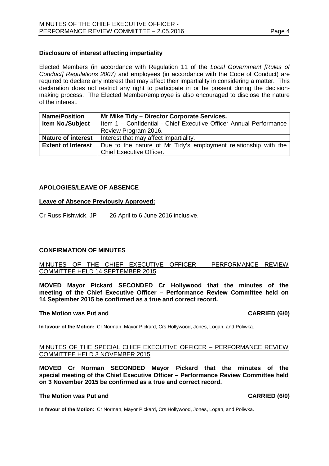### **Disclosure of interest affecting impartiality**

Elected Members (in accordance with Regulation 11 of the *Local Government [Rules of Conduct] Regulations 2007)* and employees (in accordance with the Code of Conduct) are required to declare any interest that may affect their impartiality in considering a matter. This declaration does not restrict any right to participate in or be present during the decisionmaking process. The Elected Member/employee is also encouraged to disclose the nature of the interest.

| <b>Name/Position</b>      | Mr Mike Tidy - Director Corporate Services.                                                        |  |  |
|---------------------------|----------------------------------------------------------------------------------------------------|--|--|
| <b>Item No./Subject</b>   | Item 1 - Confidential - Chief Executive Officer Annual Performance                                 |  |  |
|                           | Review Program 2016.                                                                               |  |  |
| <b>Nature of interest</b> | Interest that may affect impartiality.                                                             |  |  |
| <b>Extent of Interest</b> | Due to the nature of Mr Tidy's employment relationship with the<br><b>Chief Executive Officer.</b> |  |  |

### <span id="page-3-0"></span>**APOLOGIES/LEAVE OF ABSENCE**

### **Leave of Absence Previously Approved:**

Cr Russ Fishwick, JP 26 April to 6 June 2016 inclusive.

# <span id="page-3-1"></span>**CONFIRMATION OF MINUTES**

## MINUTES OF THE CHIEF EXECUTIVE OFFICER – PERFORMANCE REVIEW COMMITTEE HELD 14 SEPTEMBER 2015

**MOVED Mayor Pickard SECONDED Cr Hollywood that the minutes of the meeting of the Chief Executive Officer – Performance Review Committee held on 14 September 2015 be confirmed as a true and correct record.**

# **The Motion was Put and CARRIED (6/0)**

**In favour of the Motion:** Cr Norman, Mayor Pickard, Crs Hollywood, Jones, Logan, and Poliwka.

### MINUTES OF THE SPECIAL CHIEF EXECUTIVE OFFICER – PERFORMANCE REVIEW COMMITTEE HELD 3 NOVEMBER 2015

**MOVED Cr Norman SECONDED Mayor Pickard that the minutes of the special meeting of the Chief Executive Officer – Performance Review Committee held on 3 November 2015 be confirmed as a true and correct record.**

### **The Motion was Put and CARRIED (6/0)**

**In favour of the Motion:** Cr Norman, Mayor Pickard, Crs Hollywood, Jones, Logan, and Poliwka.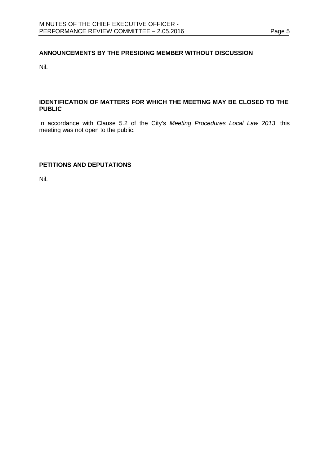# <span id="page-4-0"></span>**ANNOUNCEMENTS BY THE PRESIDING MEMBER WITHOUT DISCUSSION**

Nil.

# <span id="page-4-1"></span>**IDENTIFICATION OF MATTERS FOR WHICH THE MEETING MAY BE CLOSED TO THE PUBLIC**

In accordance with Clause 5.2 of the City's *Meeting Procedures Local Law 2013*, this meeting was not open to the public.

# <span id="page-4-2"></span>**PETITIONS AND DEPUTATIONS**

Nil.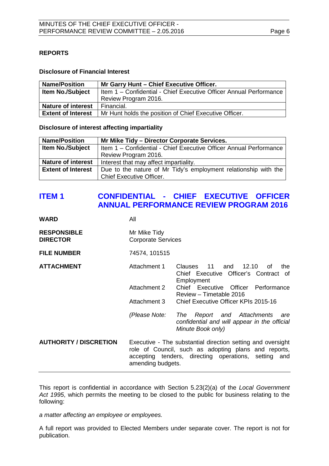# <span id="page-5-0"></span>**REPORTS**

## **Disclosure of Financial Interest**

| <b>Name/Position</b>      | Mr Garry Hunt - Chief Executive Officer.                           |
|---------------------------|--------------------------------------------------------------------|
| <b>Item No./Subject</b>   | Item 1 - Confidential - Chief Executive Officer Annual Performance |
|                           | Review Program 2016.                                               |
| <b>Nature of interest</b> | Financial.                                                         |
| <b>Extent of Interest</b> | Mr Hunt holds the position of Chief Executive Officer.             |

### **Disclosure of interest affecting impartiality**

| <b>Name/Position</b>      | Mr Mike Tidy - Director Corporate Services.                        |  |  |
|---------------------------|--------------------------------------------------------------------|--|--|
| <b>Item No./Subject</b>   | Item 1 - Confidential - Chief Executive Officer Annual Performance |  |  |
|                           | Review Program 2016.                                               |  |  |
| <b>Nature of interest</b> | Interest that may affect impartiality.                             |  |  |
| <b>Extent of Interest</b> | Due to the nature of Mr Tidy's employment relationship with the    |  |  |
|                           | <b>Chief Executive Officer.</b>                                    |  |  |

# <span id="page-5-1"></span>**ITEM 1 CONFIDENTIAL - CHIEF EXECUTIVE OFFICER ANNUAL PERFORMANCE REVIEW PROGRAM 2016**

| WARD                                  | All                                                                                                                                                                                              |                                                                                                           |
|---------------------------------------|--------------------------------------------------------------------------------------------------------------------------------------------------------------------------------------------------|-----------------------------------------------------------------------------------------------------------|
| <b>RESPONSIBLE</b><br><b>DIRECTOR</b> | Mr Mike Tidy<br><b>Corporate Services</b>                                                                                                                                                        |                                                                                                           |
| <b>FILE NUMBER</b>                    | 74574, 101515                                                                                                                                                                                    |                                                                                                           |
| <b>ATTACHMENT</b>                     | Attachment 1                                                                                                                                                                                     | Clauses 11 and 12.10<br>the<br>of<br>Chief Executive Officer's Contract of<br>Employment                  |
|                                       | Attachment 2                                                                                                                                                                                     | Chief Executive Officer<br>Performance<br>Review - Timetable 2016                                         |
|                                       | Attachment 3                                                                                                                                                                                     | Chief Executive Officer KPIs 2015-16                                                                      |
|                                       | (Please Note:                                                                                                                                                                                    | Report and Attachments<br>The<br>are<br>confidential and will appear in the official<br>Minute Book only) |
| <b>AUTHORITY / DISCRETION</b>         | Executive - The substantial direction setting and oversight<br>role of Council, such as adopting plans and reports,<br>accepting tenders, directing operations, setting and<br>amending budgets. |                                                                                                           |

This report is confidential in accordance with Section 5.23(2)(a) of the *Local Government Act 1995*, which permits the meeting to be closed to the public for business relating to the following:

*a matter affecting an employee or employees.*

A full report was provided to Elected Members under separate cover. The report is not for publication.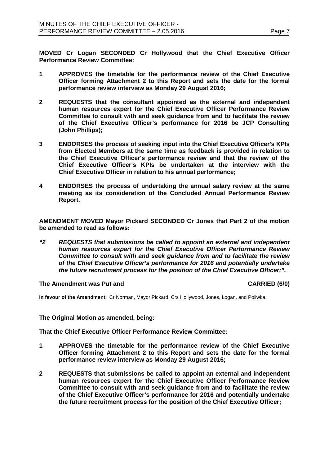**MOVED Cr Logan SECONDED Cr Hollywood that the Chief Executive Officer Performance Review Committee:**

- **1 APPROVES the timetable for the performance review of the Chief Executive Officer forming Attachment 2 to this Report and sets the date for the formal performance review interview as Monday 29 August 2016;**
- **2 REQUESTS that the consultant appointed as the external and independent human resources expert for the Chief Executive Officer Performance Review Committee to consult with and seek guidance from and to facilitate the review of the Chief Executive Officer's performance for 2016 be JCP Consulting (John Phillips);**
- **3 ENDORSES the process of seeking input into the Chief Executive Officer's KPIs from Elected Members at the same time as feedback is provided in relation to the Chief Executive Officer's performance review and that the review of the Chief Executive Officer's KPIs be undertaken at the interview with the Chief Executive Officer in relation to his annual performance;**
- **4 ENDORSES the process of undertaking the annual salary review at the same meeting as its consideration of the Concluded Annual Performance Review Report.**

**AMENDMENT MOVED Mayor Pickard SECONDED Cr Jones that Part 2 of the motion be amended to read as follows:**

*"2 REQUESTS that submissions be called to appoint an external and independent human resources expert for the Chief Executive Officer Performance Review Committee to consult with and seek guidance from and to facilitate the review of the Chief Executive Officer's performance for 2016 and potentially undertake the future recruitment process for the position of the Chief Executive Officer;".*

**The Amendment was Put and CARRIED (6/0)**

**In favour of the Amendment:** Cr Norman, Mayor Pickard, Crs Hollywood, Jones, Logan, and Poliwka.

**The Original Motion as amended, being:**

**That the Chief Executive Officer Performance Review Committee:**

- **1 APPROVES the timetable for the performance review of the Chief Executive Officer forming Attachment 2 to this Report and sets the date for the formal performance review interview as Monday 29 August 2016;**
- **2 REQUESTS that submissions be called to appoint an external and independent human resources expert for the Chief Executive Officer Performance Review Committee to consult with and seek guidance from and to facilitate the review of the Chief Executive Officer's performance for 2016 and potentially undertake the future recruitment process for the position of the Chief Executive Officer;**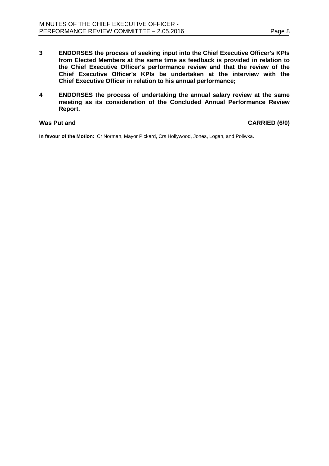**4 ENDORSES the process of undertaking the annual salary review at the same meeting as its consideration of the Concluded Annual Performance Review Report.**

## **Was Put and CARRIED (6/0)**

**In favour of the Motion:** Cr Norman, Mayor Pickard, Crs Hollywood, Jones, Logan, and Poliwka.